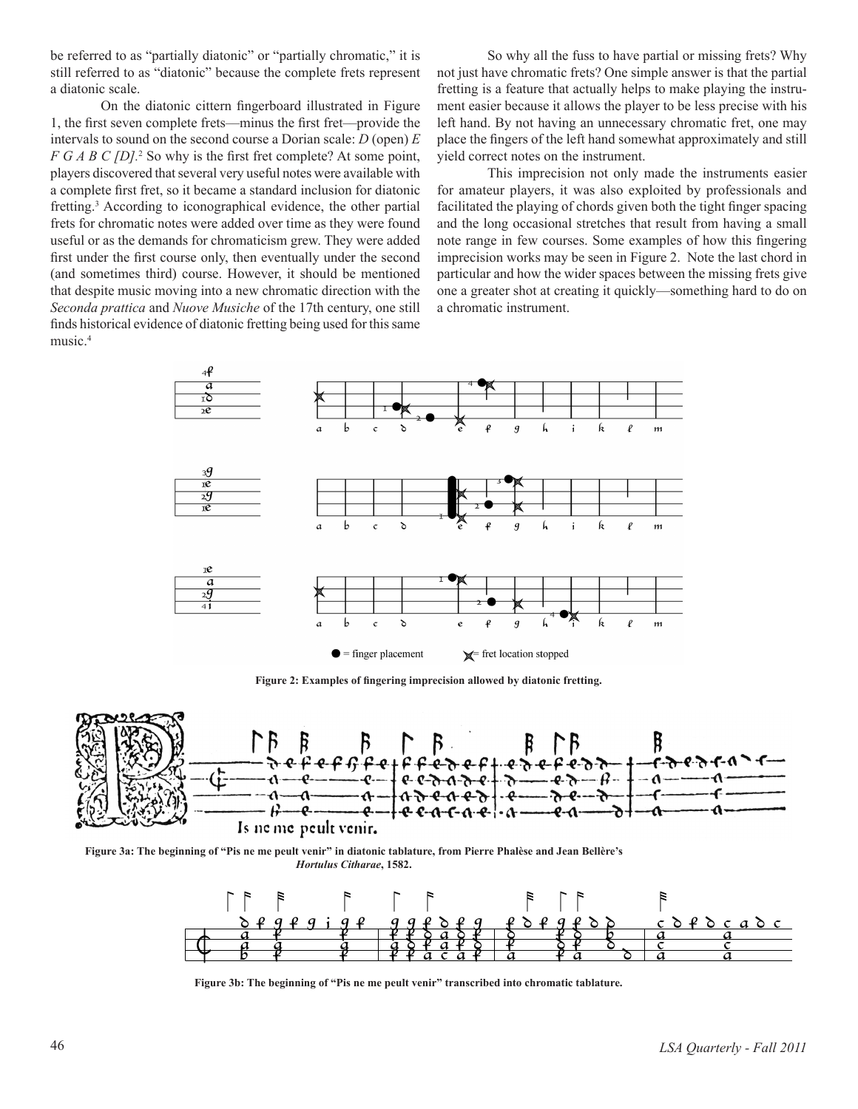be referred to as "partially diatonic" or "partially chromatic," it is still referred to as "diatonic" because the complete frets represent a diatonic scale.

 On the diatonic cittern fingerboard illustrated in Figure 1, the first seven complete frets––minus the first fret––provide the intervals to sound on the second course a Dorian scale: *D* (open) *E F G A B C [D]*.<sup>2</sup> So why is the first fret complete? At some point, players discovered that several very useful notes were available with a complete first fret, so it became a standard inclusion for diatonic fretting.3 According to iconographical evidence, the other partial frets for chromatic notes were added over time as they were found useful or as the demands for chromaticism grew. They were added first under the first course only, then eventually under the second (and sometimes third) course. However, it should be mentioned that despite music moving into a new chromatic direction with the *Seconda prattica* and *Nuove Musiche* of the 17th century, one still finds historical evidence of diatonic fretting being used for this same music.4

 So why all the fuss to have partial or missing frets? Why not just have chromatic frets? One simple answer is that the partial fretting is a feature that actually helps to make playing the instrument easier because it allows the player to be less precise with his left hand. By not having an unnecessary chromatic fret, one may place the fingers of the left hand somewhat approximately and still yield correct notes on the instrument.

 This imprecision not only made the instruments easier for amateur players, it was also exploited by professionals and facilitated the playing of chords given both the tight finger spacing and the long occasional stretches that result from having a small note range in few courses. Some examples of how this fingering imprecision works may be seen in Figure 2. Note the last chord in particular and how the wider spaces between the missing frets give one a greater shot at creating it quickly—something hard to do on a chromatic instrument.



**Figure 2: Examples of fingering imprecision allowed by diatonic fretting.**



**Figure 3a: The beginning of "Pis ne me peult venir" in diatonic tablature, from Pierre Phalèse and Jean Bellère's**  *Hortulus Citharae***, 1582.**



**Figure 3b: The beginning of "Pis ne me peult venir" transcribed into chromatic tablature.**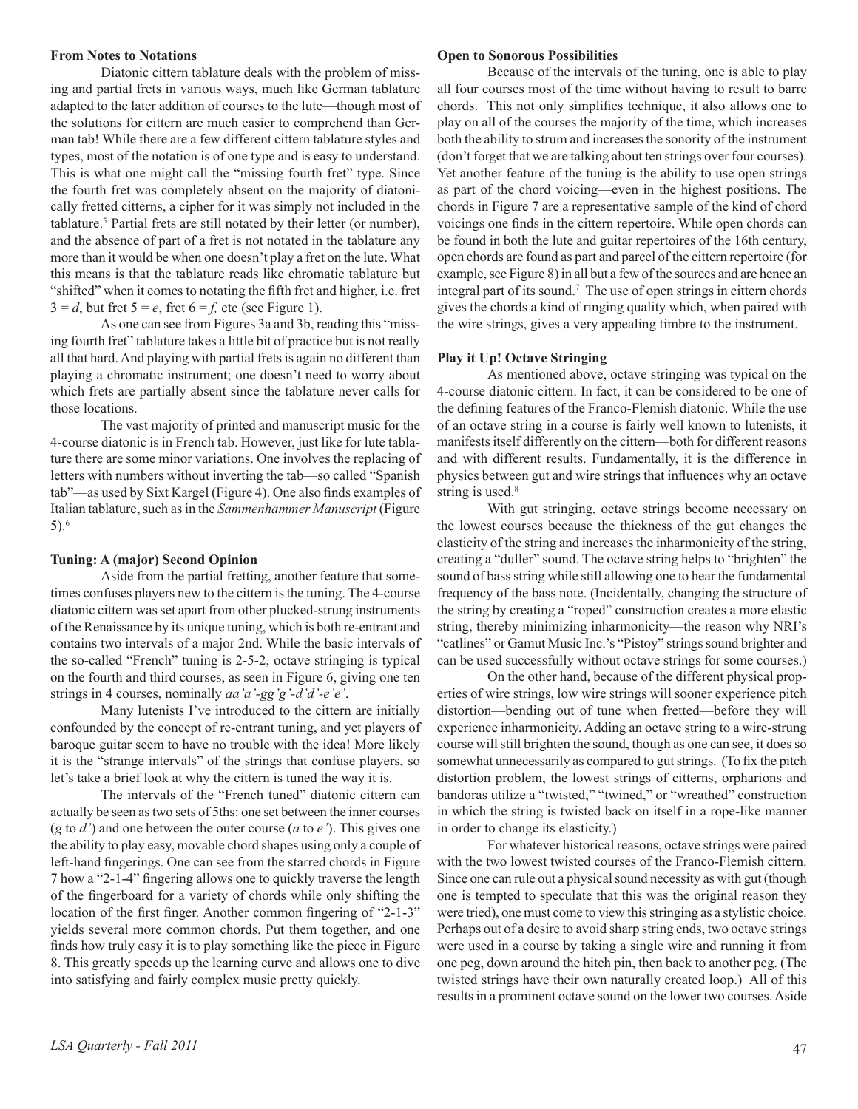### **From Notes to Notations**

 Diatonic cittern tablature deals with the problem of missing and partial frets in various ways, much like German tablature adapted to the later addition of courses to the lute—though most of the solutions for cittern are much easier to comprehend than German tab! While there are a few different cittern tablature styles and types, most of the notation is of one type and is easy to understand. This is what one might call the "missing fourth fret" type. Since the fourth fret was completely absent on the majority of diatonically fretted citterns, a cipher for it was simply not included in the tablature.5 Partial frets are still notated by their letter (or number), and the absence of part of a fret is not notated in the tablature any more than it would be when one doesn't play a fret on the lute. What this means is that the tablature reads like chromatic tablature but "shifted" when it comes to notating the fifth fret and higher, i.e. fret  $3 = d$ , but fret  $5 = e$ , fret  $6 = f$ , etc (see Figure 1).

 As one can see from Figures 3a and 3b, reading this "missing fourth fret" tablature takes a little bit of practice but is not really all that hard.And playing with partial fretsis again no different than playing a chromatic instrument; one doesn't need to worry about which frets are partially absent since the tablature never calls for those locations.

 The vast majority of printed and manuscript music for the 4-course diatonic is in French tab. However, just like for lute tablature there are some minor variations. One involves the replacing of letters with numbers without inverting the tab––so called "Spanish tab"––as used by Sixt Kargel (Figure 4). One also finds examples of Italian tablature, such as in the *Sammenhammer Manuscript* (Figure 5).6

### **Tuning: A (major) Second Opinion**

 Aside from the partial fretting, another feature that sometimes confuses players new to the cittern is the tuning. The 4-course diatonic cittern wasset apart from other plucked-strung instruments of the Renaissance by its unique tuning, which is both re-entrant and contains two intervals of a major 2nd. While the basic intervals of the so-called "French" tuning is 2-5-2, octave stringing is typical on the fourth and third courses, as seen in Figure 6, giving one ten strings in 4 courses, nominally *aa'a'-gg'g'-d'd'-e'e'*.

 Many lutenists I've introduced to the cittern are initially confounded by the concept of re-entrant tuning, and yet players of baroque guitar seem to have no trouble with the idea! More likely it is the "strange intervals" of the strings that confuse players, so let's take a brief look at why the cittern is tuned the way it is.

 The intervals of the "French tuned" diatonic cittern can actually be seen astwo sets of 5ths: one set between the inner courses (*g* to *d'*) and one between the outer course (*a* to *e'*). This gives one the ability to play easy, movable chord shapes using only a couple of left-hand fingerings. One can see from the starred chords in Figure 7 how a "2-1-4" fingering allows one to quickly traverse the length of the fingerboard for a variety of chords while only shifting the location of the first finger. Another common fingering of "2-1-3" yields several more common chords. Put them together, and one finds how truly easy it is to play something like the piece in Figure 8. This greatly speeds up the learning curve and allows one to dive into satisfying and fairly complex music pretty quickly.

### **Open to Sonorous Possibilities**

 Because of the intervals of the tuning, one is able to play all four courses most of the time without having to result to barre chords. This not only simplifies technique, it also allows one to play on all of the courses the majority of the time, which increases both the ability to strum and increases the sonority of the instrument (don't forget that we are talking about ten strings over four courses). Yet another feature of the tuning is the ability to use open strings as part of the chord voicing—even in the highest positions. The chords in Figure 7 are a representative sample of the kind of chord voicings one finds in the cittern repertoire. While open chords can be found in both the lute and guitar repertoires of the 16th century, open chords are found as part and parcel of the cittern repertoire (for example, see Figure 8) in all but a few of the sources and are hence an integral part of its sound.<sup>7</sup> The use of open strings in cittern chords gives the chords a kind of ringing quality which, when paired with the wire strings, gives a very appealing timbre to the instrument.

## **Play it Up! Octave Stringing**

 As mentioned above, octave stringing was typical on the 4-course diatonic cittern. In fact, it can be considered to be one of the defining features of the Franco-Flemish diatonic. While the use of an octave string in a course is fairly well known to lutenists, it manifests itself differently on the cittern—both for different reasons and with different results. Fundamentally, it is the difference in physics between gut and wire strings that influences why an octave string is used.<sup>8</sup>

 With gut stringing, octave strings become necessary on the lowest courses because the thickness of the gut changes the elasticity of the string and increases the inharmonicity of the string, creating a "duller" sound. The octave string helps to "brighten" the sound of bass string while still allowing one to hear the fundamental frequency of the bass note. (Incidentally, changing the structure of the string by creating a "roped" construction creates a more elastic string, thereby minimizing inharmonicity—the reason why NRI's "catlines" or Gamut Music Inc.'s "Pistoy" strings sound brighter and can be used successfully without octave strings for some courses.)

 On the other hand, because of the different physical properties of wire strings, low wire strings will sooner experience pitch distortion—bending out of tune when fretted––before they will experience inharmonicity. Adding an octave string to a wire-strung course will still brighten the sound, though as one can see, it does so somewhat unnecessarily as compared to gut strings. (To fix the pitch distortion problem, the lowest strings of citterns, orpharions and bandoras utilize a "twisted," "twined," or "wreathed" construction in which the string is twisted back on itself in a rope-like manner in order to change its elasticity.)

 For whatever historical reasons, octave strings were paired with the two lowest twisted courses of the Franco-Flemish cittern. Since one can rule out a physical sound necessity as with gut (though one is tempted to speculate that this was the original reason they were tried), one must come to view thisstringing as a stylistic choice. Perhaps out of a desire to avoid sharp string ends, two octave strings were used in a course by taking a single wire and running it from one peg, down around the hitch pin, then back to another peg. (The twisted strings have their own naturally created loop.) All of this results in a prominent octave sound on the lower two courses. Aside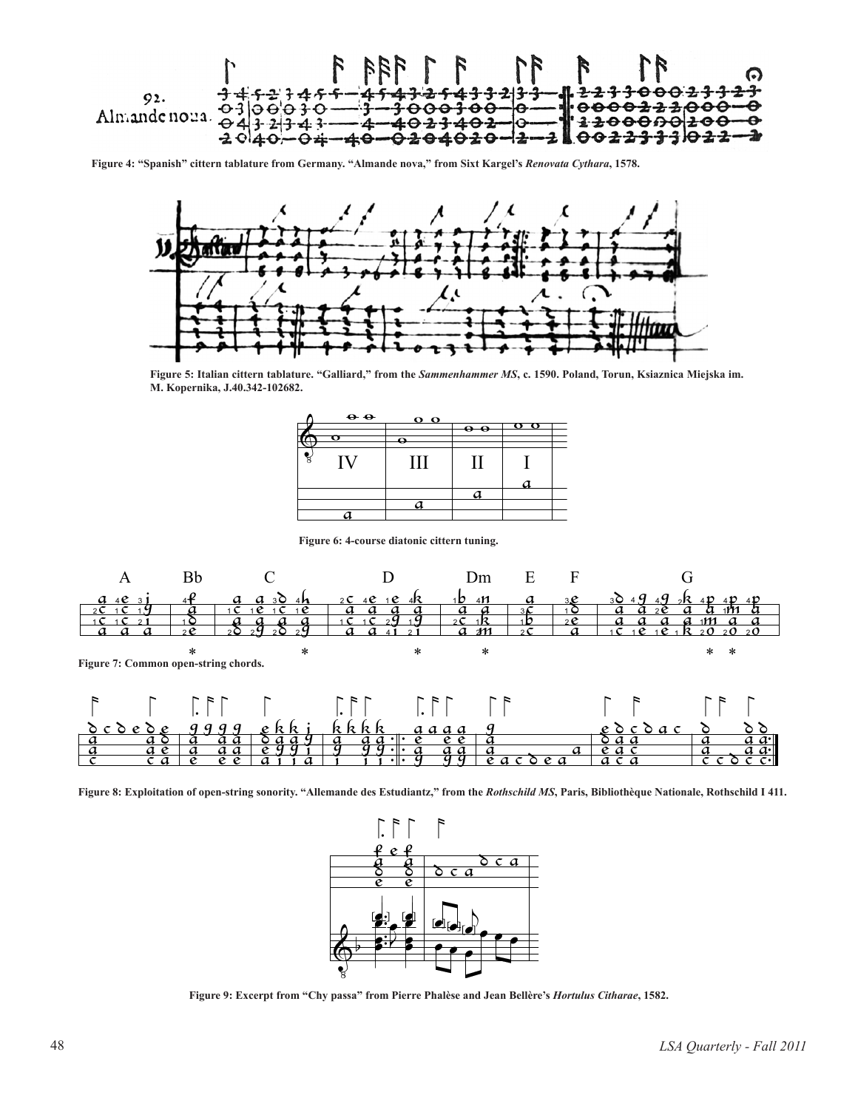**Figure 4: "Spanish" cittern tablature from Germany. "Almande nova," from Sixt Kargel's** *Renovata Cythara***, 1578.**



**Figure 5: Italian cittern tablature. "Galliard," from the** *Sammenhammer MS***, c. 1590. Poland, Torun, Ksiaznica Miejska im. M. Kopernika, J.40.342-102682.** 

| $\mathbf{\Theta}$ | $\overline{\mathbf{o}}$ $\overline{\mathbf{o}}$ |            |  |
|-------------------|-------------------------------------------------|------------|--|
|                   |                                                 | <u>റ റ</u> |  |
|                   |                                                 |            |  |
|                   |                                                 |            |  |
|                   |                                                 |            |  |
|                   |                                                 |            |  |
|                   |                                                 |            |  |
|                   |                                                 |            |  |

**Figure 6: 4-course diatonic cittern tuning.**



**Figure 8: Exploitation of open-string sonority. "Allemande des Estudiantz," from the** *Rothschild MS***, Paris, Bibliothèque Nationale, Rothschild I 411.**



**Figure 9: Excerpt from "Chy passa" from Pierre Phalèse and Jean Bellère's** *Hortulus Citharae***, 1582.**